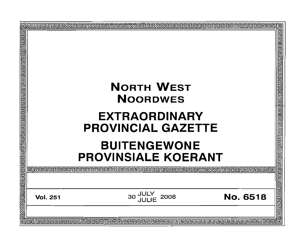|  |  | <u>बौद्यवागगवाचाचा ब</u> |
|--|--|--------------------------|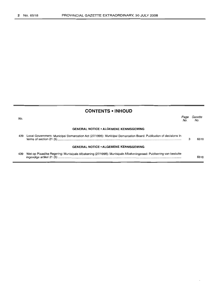| <b>CONTENTS • INHOUD</b> |                                                                                                                  |             |                |  |  |  |  |  |
|--------------------------|------------------------------------------------------------------------------------------------------------------|-------------|----------------|--|--|--|--|--|
| No.                      |                                                                                                                  | Page<br>No. | Gazette<br>No. |  |  |  |  |  |
|                          | <b>GENERAL NOTICE • ALGEMENE KENNISGEWING</b>                                                                    |             |                |  |  |  |  |  |
| 439                      | Local Government: Municipal Demarcation Act (27/1998): Municipal Demarcation Board: Publication of decisions in  |             | 6518           |  |  |  |  |  |
|                          | <b>GENERAL NOTICE • ALGEMENE KENNISGEWING</b>                                                                    |             |                |  |  |  |  |  |
| 439                      | Wet op Plaaslike Regering: Munisipale Afbakening (27/1998): Munisipale Afbakeningsraad: Publisering van besluite |             | 6518           |  |  |  |  |  |